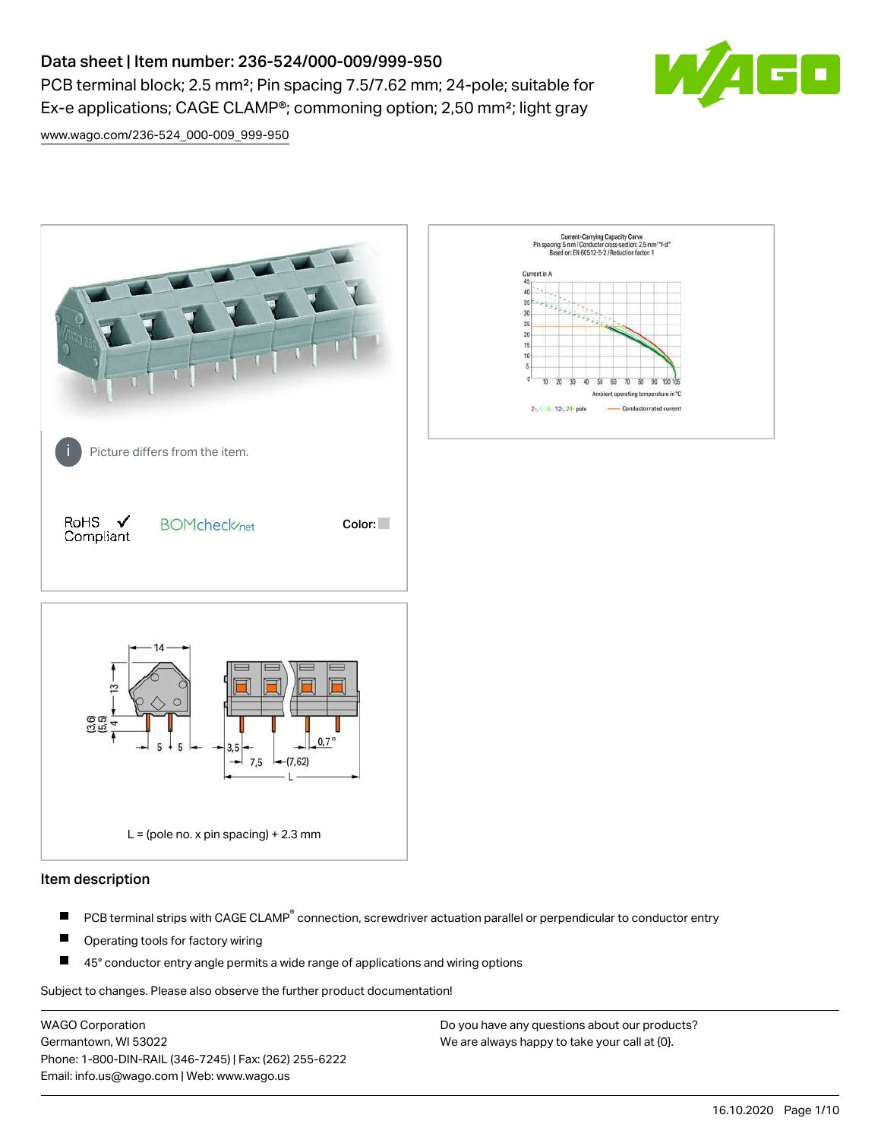# Data sheet | Item number: 236-524/000-009/999-950

PCB terminal block; 2.5 mm²; Pin spacing 7.5/7.62 mm; 24-pole; suitable for Ex-e applications; CAGE CLAMP®; commoning option; 2,50 mm²; light gray



[www.wago.com/236-524\\_000-009\\_999-950](http://www.wago.com/236-524_000-009_999-950)



### Item description

- PCB terminal strips with CAGE CLAMP<sup>®</sup> connection, screwdriver actuation parallel or perpendicular to conductor entry П
- П Operating tools for factory wiring
- П 45° conductor entry angle permits a wide range of applications and wiring options

Subject to changes. Please also observe the further product documentation!

WAGO Corporation Germantown, WI 53022 Phone: 1-800-DIN-RAIL (346-7245) | Fax: (262) 255-6222 Email: info.us@wago.com | Web: www.wago.us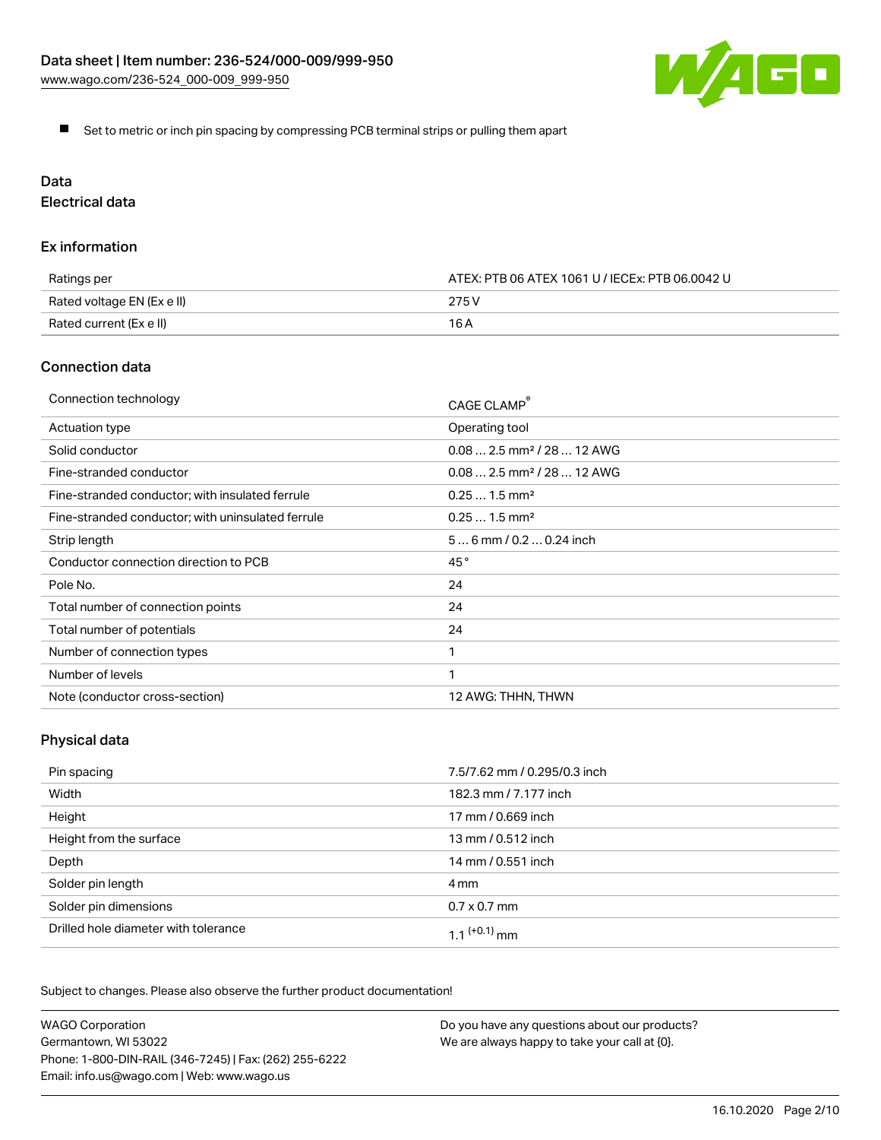

Set to metric or inch pin spacing by compressing PCB terminal strips or pulling them apart

# Data

Electrical data

### Ex information

| Ratings per                | ATEX: PTB 06 ATEX 1061 U / IECEx: PTB 06.0042 U |
|----------------------------|-------------------------------------------------|
| Rated voltage EN (Ex e II) | 275 V                                           |
| Rated current (Ex e II)    | 16 A                                            |

### Connection data

| Connection technology                             | CAGE CLAMP                              |
|---------------------------------------------------|-----------------------------------------|
| Actuation type                                    | Operating tool                          |
| Solid conductor                                   | $0.08$ 2.5 mm <sup>2</sup> / 28  12 AWG |
| Fine-stranded conductor                           | $0.08$ 2.5 mm <sup>2</sup> / 28  12 AWG |
| Fine-stranded conductor; with insulated ferrule   | $0.251.5$ mm <sup>2</sup>               |
| Fine-stranded conductor; with uninsulated ferrule | $0.251.5$ mm <sup>2</sup>               |
| Strip length                                      | $56$ mm $/ 0.20.24$ inch                |
| Conductor connection direction to PCB             | 45°                                     |
| Pole No.                                          | 24                                      |
| Total number of connection points                 | 24                                      |
| Total number of potentials                        | 24                                      |
| Number of connection types                        |                                         |
| Number of levels                                  | 1                                       |
| Note (conductor cross-section)                    | 12 AWG: THHN, THWN                      |

# Physical data

| Pin spacing                          | 7.5/7.62 mm / 0.295/0.3 inch |
|--------------------------------------|------------------------------|
| Width                                | 182.3 mm / 7.177 inch        |
| Height                               | 17 mm / 0.669 inch           |
| Height from the surface              | 13 mm / 0.512 inch           |
| Depth                                | 14 mm / 0.551 inch           |
| Solder pin length                    | 4 mm                         |
| Solder pin dimensions                | $0.7 \times 0.7$ mm          |
| Drilled hole diameter with tolerance | 1 1 $(+0.1)$ mm              |

Subject to changes. Please also observe the further product documentation!

| <b>WAGO Corporation</b>                                | Do you have any questions about our products? |
|--------------------------------------------------------|-----------------------------------------------|
| Germantown, WI 53022                                   | We are always happy to take your call at {0}. |
| Phone: 1-800-DIN-RAIL (346-7245)   Fax: (262) 255-6222 |                                               |
| Email: info.us@wago.com   Web: www.wago.us             |                                               |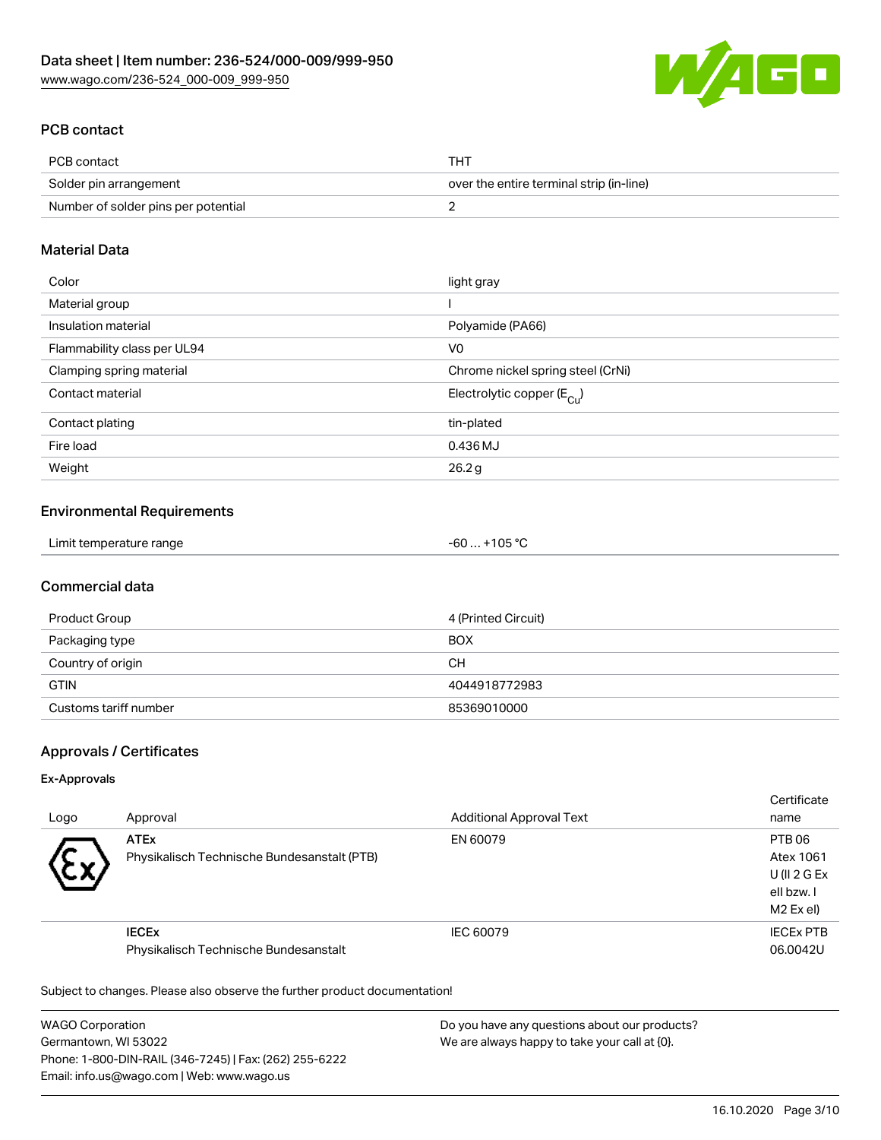

# PCB contact

| PCB contact                         | <b>THT</b>                               |
|-------------------------------------|------------------------------------------|
| Solder pin arrangement              | over the entire terminal strip (in-line) |
| Number of solder pins per potential |                                          |

### Material Data

| Color                       | light gray                             |
|-----------------------------|----------------------------------------|
| Material group              |                                        |
| Insulation material         | Polyamide (PA66)                       |
| Flammability class per UL94 | V <sub>0</sub>                         |
| Clamping spring material    | Chrome nickel spring steel (CrNi)      |
| Contact material            | Electrolytic copper $(E_{\text{Cul}})$ |
| Contact plating             | tin-plated                             |
| Fire load                   | 0.436 MJ                               |
| Weight                      | 26.2g                                  |

### Environmental Requirements

| Limit temperature range | $-60+105 °C$ |
|-------------------------|--------------|
|-------------------------|--------------|

## Commercial data

| Product Group         | 4 (Printed Circuit) |
|-----------------------|---------------------|
| Packaging type        | <b>BOX</b>          |
| Country of origin     | CН                  |
| <b>GTIN</b>           | 4044918772983       |
| Customs tariff number | 85369010000         |

# Approvals / Certificates

### Ex-Approvals

| Logo      | Approval                                                   | <b>Additional Approval Text</b> | Certificate<br>name                                           |
|-----------|------------------------------------------------------------|---------------------------------|---------------------------------------------------------------|
| $\ddot{}$ | <b>ATEx</b><br>Physikalisch Technische Bundesanstalt (PTB) | EN 60079                        | PTB 06<br>Atex 1061<br>U(II 2 G Ex<br>ell bzw. I<br>M2 Ex el) |
|           | <b>IECEX</b><br>Physikalisch Technische Bundesanstalt      | IEC 60079                       | <b>IECEX PTB</b><br>06.0042U                                  |

Subject to changes. Please also observe the further product documentation!

WAGO Corporation Germantown, WI 53022 Phone: 1-800-DIN-RAIL (346-7245) | Fax: (262) 255-6222 Email: info.us@wago.com | Web: www.wago.us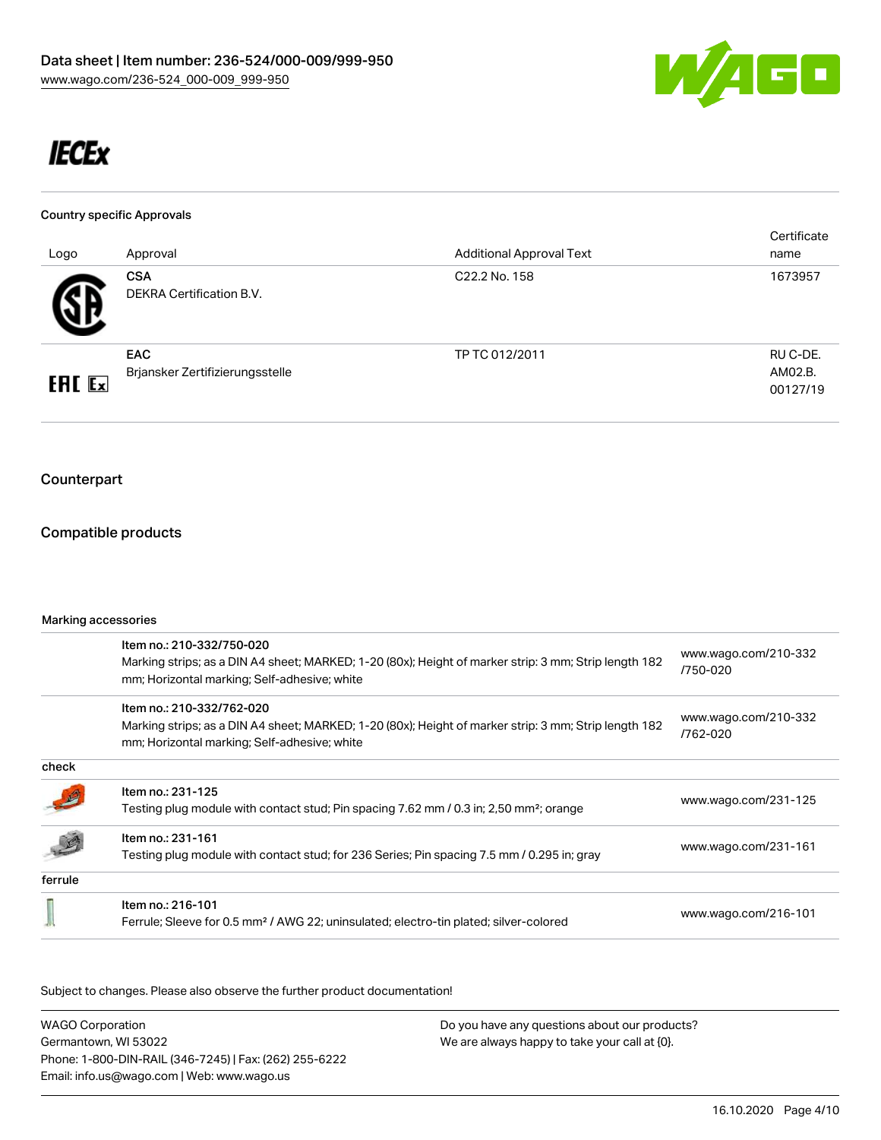

# **IECEx**

### Country specific Approvals

| Logo          | Approval                                      | <b>Additional Approval Text</b> | Certificate<br>name             |
|---------------|-----------------------------------------------|---------------------------------|---------------------------------|
| 5 D           | <b>CSA</b><br>DEKRA Certification B.V.        | C22.2 No. 158                   | 1673957                         |
| <b>ERC</b> Ex | <b>EAC</b><br>Brjansker Zertifizierungsstelle | TP TC 012/2011                  | RU C-DE.<br>AM02.B.<br>00127/19 |

# Counterpart

### Compatible products

### Marking accessories

|         | Item no.: 210-332/750-020<br>Marking strips; as a DIN A4 sheet; MARKED; 1-20 (80x); Height of marker strip: 3 mm; Strip length 182<br>mm; Horizontal marking; Self-adhesive; white | www.wago.com/210-332<br>/750-020 |
|---------|------------------------------------------------------------------------------------------------------------------------------------------------------------------------------------|----------------------------------|
|         | Item no.: 210-332/762-020<br>Marking strips; as a DIN A4 sheet; MARKED; 1-20 (80x); Height of marker strip: 3 mm; Strip length 182<br>mm; Horizontal marking; Self-adhesive; white | www.wago.com/210-332<br>/762-020 |
| check   |                                                                                                                                                                                    |                                  |
|         | Item no.: 231-125<br>Testing plug module with contact stud; Pin spacing 7.62 mm / 0.3 in; 2,50 mm <sup>2</sup> ; orange                                                            | www.wago.com/231-125             |
|         | Item no.: 231-161<br>Testing plug module with contact stud; for 236 Series; Pin spacing 7.5 mm / 0.295 in; gray                                                                    | www.wago.com/231-161             |
| ferrule |                                                                                                                                                                                    |                                  |
|         | Item no.: 216-101<br>Ferrule; Sleeve for 0.5 mm <sup>2</sup> / AWG 22; uninsulated; electro-tin plated; silver-colored                                                             | www.wago.com/216-101             |
|         |                                                                                                                                                                                    |                                  |

Subject to changes. Please also observe the further product documentation!

| <b>WAGO Corporation</b>                                | Do you have any questions about our products? |
|--------------------------------------------------------|-----------------------------------------------|
| Germantown, WI 53022                                   | We are always happy to take your call at {0}. |
| Phone: 1-800-DIN-RAIL (346-7245)   Fax: (262) 255-6222 |                                               |
| Email: info.us@wago.com   Web: www.wago.us             |                                               |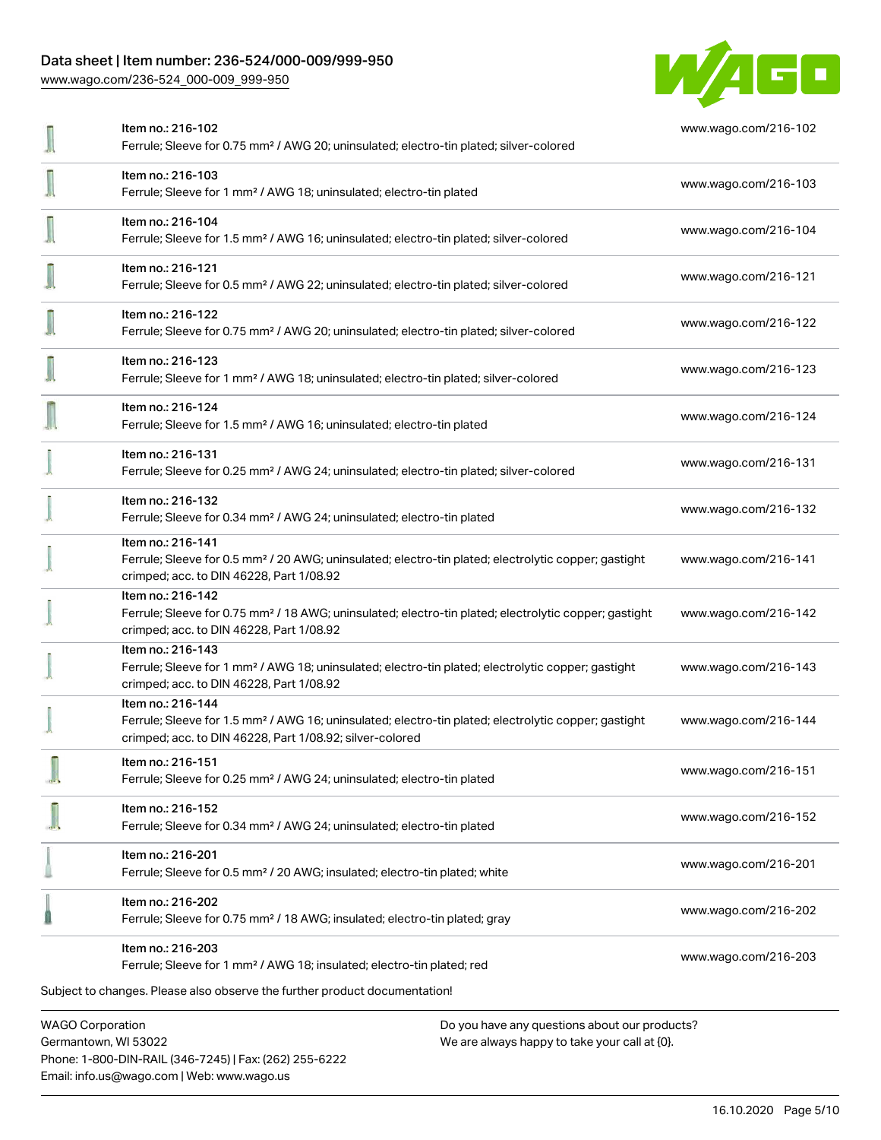### Data sheet | Item number: 236-524/000-009/999-950

[www.wago.com/236-524\\_000-009\\_999-950](http://www.wago.com/236-524_000-009_999-950)



| Item no.: 216-102<br>Ferrule; Sleeve for 0.75 mm <sup>2</sup> / AWG 20; uninsulated; electro-tin plated; silver-colored                                                                           | www.wago.com/216-102 |
|---------------------------------------------------------------------------------------------------------------------------------------------------------------------------------------------------|----------------------|
| Item no.: 216-103<br>Ferrule; Sleeve for 1 mm <sup>2</sup> / AWG 18; uninsulated; electro-tin plated                                                                                              | www.wago.com/216-103 |
| Item no.: 216-104<br>Ferrule; Sleeve for 1.5 mm <sup>2</sup> / AWG 16; uninsulated; electro-tin plated; silver-colored                                                                            | www.wago.com/216-104 |
| Item no.: 216-121<br>Ferrule; Sleeve for 0.5 mm <sup>2</sup> / AWG 22; uninsulated; electro-tin plated; silver-colored                                                                            | www.wago.com/216-121 |
| Item no.: 216-122<br>Ferrule; Sleeve for 0.75 mm <sup>2</sup> / AWG 20; uninsulated; electro-tin plated; silver-colored                                                                           | www.wago.com/216-122 |
| Item no.: 216-123<br>Ferrule; Sleeve for 1 mm <sup>2</sup> / AWG 18; uninsulated; electro-tin plated; silver-colored                                                                              | www.wago.com/216-123 |
| Item no.: 216-124<br>Ferrule; Sleeve for 1.5 mm <sup>2</sup> / AWG 16; uninsulated; electro-tin plated                                                                                            | www.wago.com/216-124 |
| Item no.: 216-131<br>Ferrule; Sleeve for 0.25 mm <sup>2</sup> / AWG 24; uninsulated; electro-tin plated; silver-colored                                                                           | www.wago.com/216-131 |
| Item no.: 216-132<br>Ferrule; Sleeve for 0.34 mm <sup>2</sup> / AWG 24; uninsulated; electro-tin plated                                                                                           | www.wago.com/216-132 |
| Item no.: 216-141<br>Ferrule; Sleeve for 0.5 mm <sup>2</sup> / 20 AWG; uninsulated; electro-tin plated; electrolytic copper; gastight<br>crimped; acc. to DIN 46228, Part 1/08.92                 | www.wago.com/216-141 |
| Item no.: 216-142<br>Ferrule; Sleeve for 0.75 mm <sup>2</sup> / 18 AWG; uninsulated; electro-tin plated; electrolytic copper; gastight<br>crimped; acc. to DIN 46228, Part 1/08.92                | www.wago.com/216-142 |
| Item no.: 216-143<br>Ferrule; Sleeve for 1 mm <sup>2</sup> / AWG 18; uninsulated; electro-tin plated; electrolytic copper; gastight<br>crimped; acc. to DIN 46228, Part 1/08.92                   | www.wago.com/216-143 |
| Item no.: 216-144<br>Ferrule; Sleeve for 1.5 mm <sup>2</sup> / AWG 16; uninsulated; electro-tin plated; electrolytic copper; gastight<br>crimped; acc. to DIN 46228, Part 1/08.92; silver-colored | www.wago.com/216-144 |
| Item no.: 216-151<br>Ferrule; Sleeve for 0.25 mm <sup>2</sup> / AWG 24; uninsulated; electro-tin plated                                                                                           | www.wago.com/216-151 |
| Item no.: 216-152<br>Ferrule; Sleeve for 0.34 mm <sup>2</sup> / AWG 24; uninsulated; electro-tin plated                                                                                           | www.wago.com/216-152 |
| Item no.: 216-201<br>Ferrule; Sleeve for 0.5 mm <sup>2</sup> / 20 AWG; insulated; electro-tin plated; white                                                                                       | www.wago.com/216-201 |
| Item no.: 216-202<br>Ferrule; Sleeve for 0.75 mm <sup>2</sup> / 18 AWG; insulated; electro-tin plated; gray                                                                                       | www.wago.com/216-202 |
| Item no.: 216-203<br>Ferrule; Sleeve for 1 mm <sup>2</sup> / AWG 18; insulated; electro-tin plated; red                                                                                           | www.wago.com/216-203 |
| Subject to changes. Please also observe the further product documentation!                                                                                                                        |                      |
| <b>WAGO Corporation</b><br>Do you have any questions about our products?                                                                                                                          |                      |

Germantown, WI 53022 Phone: 1-800-DIN-RAIL (346-7245) | Fax: (262) 255-6222 Email: info.us@wago.com | Web: www.wago.us

We are always happy to take your call at {0}.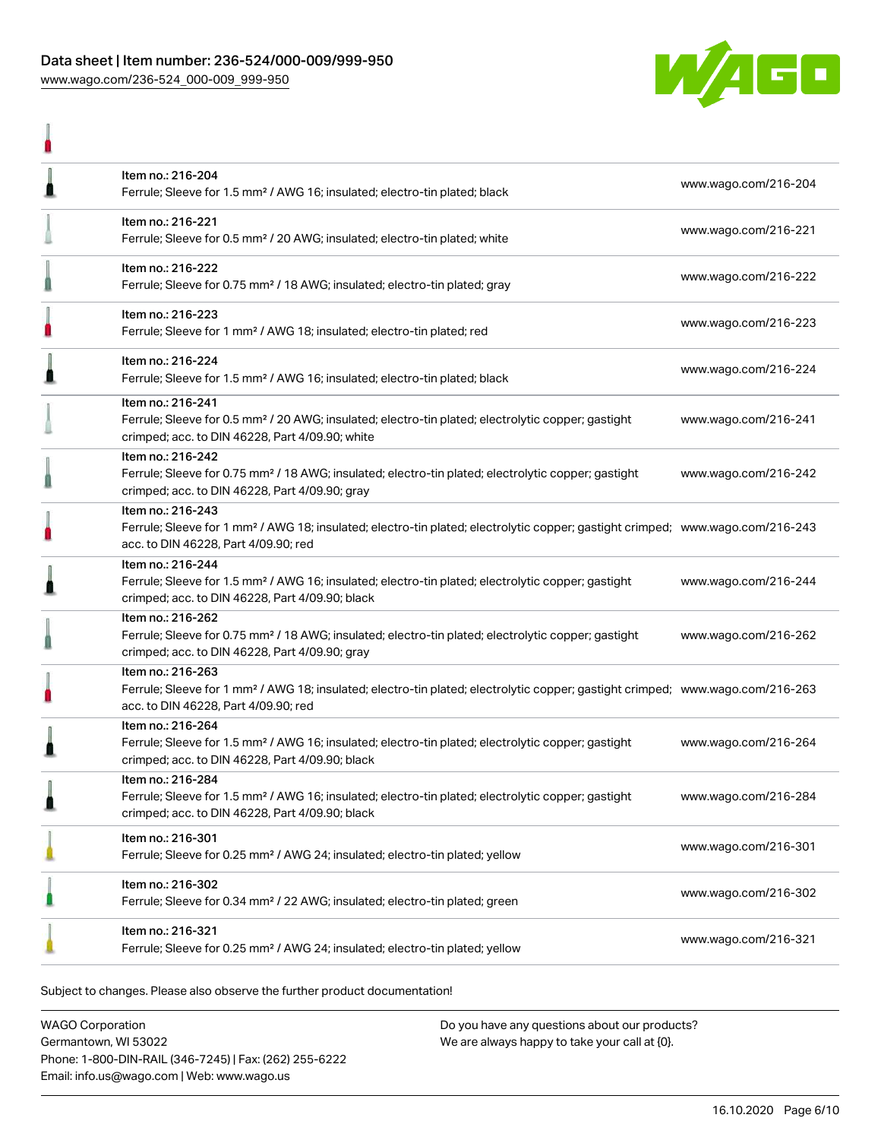### Data sheet | Item number: 236-524/000-009/999-950 [www.wago.com/236-524\\_000-009\\_999-950](http://www.wago.com/236-524_000-009_999-950)

I



| ш |                                                                                                                                                                                                         |                      |
|---|---------------------------------------------------------------------------------------------------------------------------------------------------------------------------------------------------------|----------------------|
| l | Item no.: 216-204<br>Ferrule; Sleeve for 1.5 mm <sup>2</sup> / AWG 16; insulated; electro-tin plated; black                                                                                             | www.wago.com/216-204 |
|   | Item no.: 216-221<br>Ferrule; Sleeve for 0.5 mm <sup>2</sup> / 20 AWG; insulated; electro-tin plated; white                                                                                             | www.wago.com/216-221 |
|   | Item no.: 216-222<br>Ferrule; Sleeve for 0.75 mm <sup>2</sup> / 18 AWG; insulated; electro-tin plated; gray                                                                                             | www.wago.com/216-222 |
|   | Item no.: 216-223<br>Ferrule; Sleeve for 1 mm <sup>2</sup> / AWG 18; insulated; electro-tin plated; red                                                                                                 | www.wago.com/216-223 |
| Ω | Item no.: 216-224<br>Ferrule; Sleeve for 1.5 mm <sup>2</sup> / AWG 16; insulated; electro-tin plated; black                                                                                             | www.wago.com/216-224 |
|   | Item no.: 216-241<br>Ferrule; Sleeve for 0.5 mm <sup>2</sup> / 20 AWG; insulated; electro-tin plated; electrolytic copper; gastight<br>crimped; acc. to DIN 46228, Part 4/09.90; white                  | www.wago.com/216-241 |
|   | Item no.: 216-242<br>Ferrule; Sleeve for 0.75 mm <sup>2</sup> / 18 AWG; insulated; electro-tin plated; electrolytic copper; gastight<br>crimped; acc. to DIN 46228, Part 4/09.90; gray                  | www.wago.com/216-242 |
|   | Item no.: 216-243<br>Ferrule; Sleeve for 1 mm <sup>2</sup> / AWG 18; insulated; electro-tin plated; electrolytic copper; gastight crimped; www.wago.com/216-243<br>acc. to DIN 46228, Part 4/09.90; red |                      |
| ≞ | Item no.: 216-244<br>Ferrule; Sleeve for 1.5 mm <sup>2</sup> / AWG 16; insulated; electro-tin plated; electrolytic copper; gastight<br>crimped; acc. to DIN 46228, Part 4/09.90; black                  | www.wago.com/216-244 |
|   | Item no.: 216-262<br>Ferrule; Sleeve for 0.75 mm <sup>2</sup> / 18 AWG; insulated; electro-tin plated; electrolytic copper; gastight<br>crimped; acc. to DIN 46228, Part 4/09.90; gray                  | www.wago.com/216-262 |
|   | Item no.: 216-263<br>Ferrule; Sleeve for 1 mm <sup>2</sup> / AWG 18; insulated; electro-tin plated; electrolytic copper; gastight crimped; www.wago.com/216-263<br>acc. to DIN 46228, Part 4/09.90; red |                      |
|   | Item no.: 216-264<br>Ferrule; Sleeve for 1.5 mm <sup>2</sup> / AWG 16; insulated; electro-tin plated; electrolytic copper; gastight<br>crimped; acc. to DIN 46228, Part 4/09.90; black                  | www.wago.com/216-264 |
| ı | Item no.: 216-284<br>Ferrule; Sleeve for 1.5 mm <sup>2</sup> / AWG 16; insulated; electro-tin plated; electrolytic copper; gastight<br>crimped; acc. to DIN 46228, Part 4/09.90; black                  | www.wago.com/216-284 |
|   | Item no.: 216-301<br>Ferrule; Sleeve for 0.25 mm <sup>2</sup> / AWG 24; insulated; electro-tin plated; yellow                                                                                           | www.wago.com/216-301 |
|   | Item no.: 216-302<br>Ferrule; Sleeve for 0.34 mm <sup>2</sup> / 22 AWG; insulated; electro-tin plated; green                                                                                            | www.wago.com/216-302 |
|   | Item no.: 216-321<br>Ferrule; Sleeve for 0.25 mm <sup>2</sup> / AWG 24; insulated; electro-tin plated; yellow                                                                                           | www.wago.com/216-321 |
|   |                                                                                                                                                                                                         |                      |

Subject to changes. Please also observe the further product documentation!

WAGO Corporation Germantown, WI 53022 Phone: 1-800-DIN-RAIL (346-7245) | Fax: (262) 255-6222 Email: info.us@wago.com | Web: www.wago.us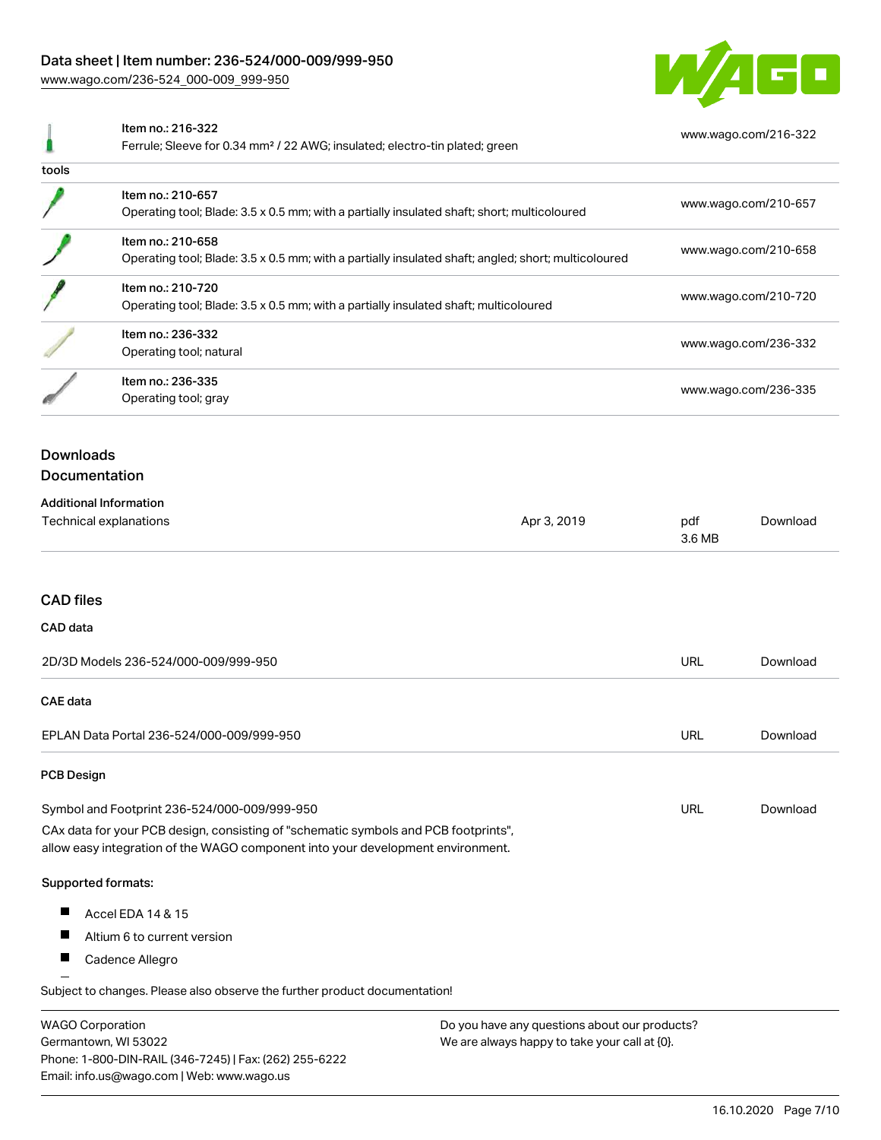### Data sheet | Item number: 236-524/000-009/999-950

[www.wago.com/236-524\\_000-009\\_999-950](http://www.wago.com/236-524_000-009_999-950)



|                                                                                                                                                                                                                        | Item no.: 216-322<br>Ferrule; Sleeve for 0.34 mm <sup>2</sup> / 22 AWG; insulated; electro-tin plated; green             |               | www.wago.com/216-322 |  |  |
|------------------------------------------------------------------------------------------------------------------------------------------------------------------------------------------------------------------------|--------------------------------------------------------------------------------------------------------------------------|---------------|----------------------|--|--|
| tools                                                                                                                                                                                                                  |                                                                                                                          |               |                      |  |  |
|                                                                                                                                                                                                                        | Item no.: 210-657<br>Operating tool; Blade: 3.5 x 0.5 mm; with a partially insulated shaft; short; multicoloured         |               | www.wago.com/210-657 |  |  |
|                                                                                                                                                                                                                        | Item no.: 210-658<br>Operating tool; Blade: 3.5 x 0.5 mm; with a partially insulated shaft; angled; short; multicoloured |               | www.wago.com/210-658 |  |  |
|                                                                                                                                                                                                                        | Item no.: 210-720<br>Operating tool; Blade: 3.5 x 0.5 mm; with a partially insulated shaft; multicoloured                |               | www.wago.com/210-720 |  |  |
|                                                                                                                                                                                                                        | Item no.: 236-332<br>Operating tool; natural                                                                             |               | www.wago.com/236-332 |  |  |
|                                                                                                                                                                                                                        | Item no.: 236-335<br>Operating tool; gray                                                                                |               | www.wago.com/236-335 |  |  |
| <b>Downloads</b><br>Documentation                                                                                                                                                                                      |                                                                                                                          |               |                      |  |  |
| <b>Additional Information</b><br>Technical explanations<br>Apr 3, 2019                                                                                                                                                 |                                                                                                                          | pdf<br>3.6 MB | Download             |  |  |
| <b>CAD files</b>                                                                                                                                                                                                       |                                                                                                                          |               |                      |  |  |
| CAD data                                                                                                                                                                                                               |                                                                                                                          |               |                      |  |  |
| 2D/3D Models 236-524/000-009/999-950                                                                                                                                                                                   |                                                                                                                          |               | Download             |  |  |
| <b>CAE</b> data                                                                                                                                                                                                        |                                                                                                                          |               |                      |  |  |
|                                                                                                                                                                                                                        | EPLAN Data Portal 236-524/000-009/999-950                                                                                | <b>URL</b>    | Download             |  |  |
| PCB Design                                                                                                                                                                                                             |                                                                                                                          |               |                      |  |  |
| Symbol and Footprint 236-524/000-009/999-950<br>CAx data for your PCB design, consisting of "schematic symbols and PCB footprints",<br>allow easy integration of the WAGO component into your development environment. |                                                                                                                          |               | Download             |  |  |
|                                                                                                                                                                                                                        | Supported formats:                                                                                                       |               |                      |  |  |
|                                                                                                                                                                                                                        | Accel EDA 14 & 15                                                                                                        |               |                      |  |  |
|                                                                                                                                                                                                                        | Altium 6 to current version                                                                                              |               |                      |  |  |
| ш                                                                                                                                                                                                                      | Cadence Allegro                                                                                                          |               |                      |  |  |
|                                                                                                                                                                                                                        | Subject to changes. Please also observe the further product documentation!                                               |               |                      |  |  |
|                                                                                                                                                                                                                        |                                                                                                                          |               |                      |  |  |

WAGO Corporation Germantown, WI 53022 Phone: 1-800-DIN-RAIL (346-7245) | Fax: (262) 255-6222 Email: info.us@wago.com | Web: www.wago.us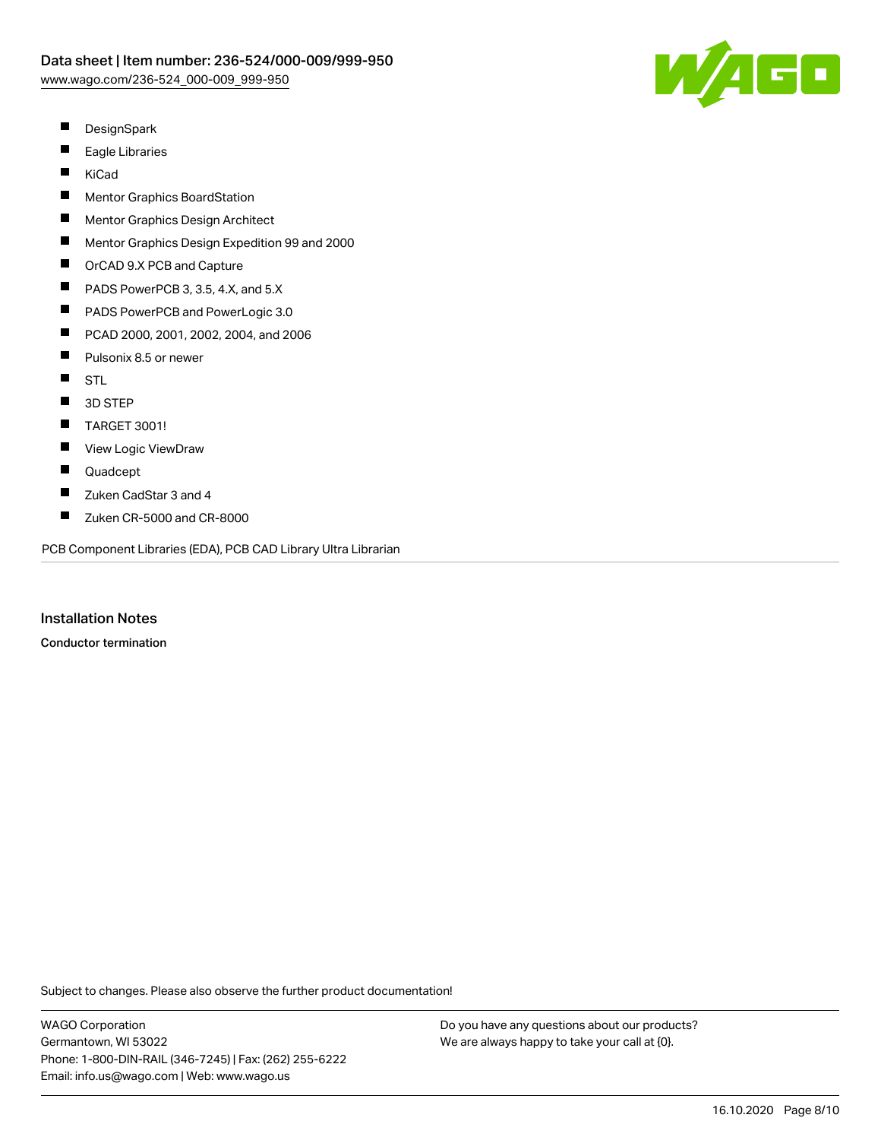

- $\blacksquare$ **DesignSpark**
- $\blacksquare$ Eagle Libraries
- $\blacksquare$ KiCad
- $\blacksquare$ Mentor Graphics BoardStation
- П Mentor Graphics Design Architect
- $\blacksquare$ Mentor Graphics Design Expedition 99 and 2000
- $\blacksquare$ OrCAD 9.X PCB and Capture
- $\blacksquare$ PADS PowerPCB 3, 3.5, 4.X, and 5.X
- $\blacksquare$ PADS PowerPCB and PowerLogic 3.0
- $\blacksquare$ PCAD 2000, 2001, 2002, 2004, and 2006
- $\blacksquare$ Pulsonix 8.5 or newer
- $\blacksquare$ STL
- $\blacksquare$ 3D STEP
- $\blacksquare$ TARGET 3001!
- $\blacksquare$ View Logic ViewDraw
- $\blacksquare$ Quadcept
- П Zuken CadStar 3 and 4
- $\blacksquare$ Zuken CR-5000 and CR-8000

PCB Component Libraries (EDA), PCB CAD Library Ultra Librarian

Installation Notes

Conductor termination

Subject to changes. Please also observe the further product documentation!

WAGO Corporation Germantown, WI 53022 Phone: 1-800-DIN-RAIL (346-7245) | Fax: (262) 255-6222 Email: info.us@wago.com | Web: www.wago.us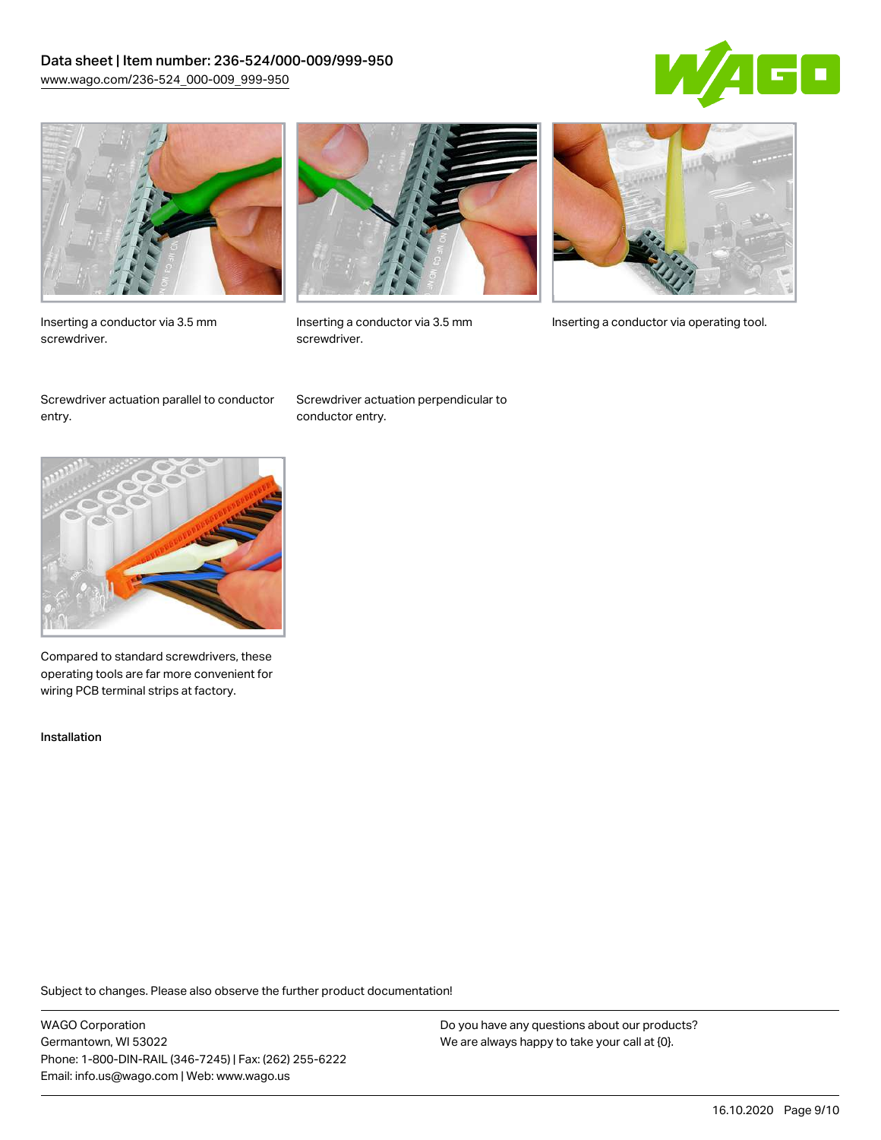### Data sheet | Item number: 236-524/000-009/999-950 [www.wago.com/236-524\\_000-009\\_999-950](http://www.wago.com/236-524_000-009_999-950)





Inserting a conductor via 3.5 mm screwdriver.



screwdriver.

Inserting a conductor via 3.5 mm Inserting a conductor via operating tool.

Screwdriver actuation parallel to conductor entry.

Screwdriver actuation perpendicular to conductor entry.



Compared to standard screwdrivers, these operating tools are far more convenient for wiring PCB terminal strips at factory.

Installation

Subject to changes. Please also observe the further product documentation!

WAGO Corporation Germantown, WI 53022 Phone: 1-800-DIN-RAIL (346-7245) | Fax: (262) 255-6222 Email: info.us@wago.com | Web: www.wago.us